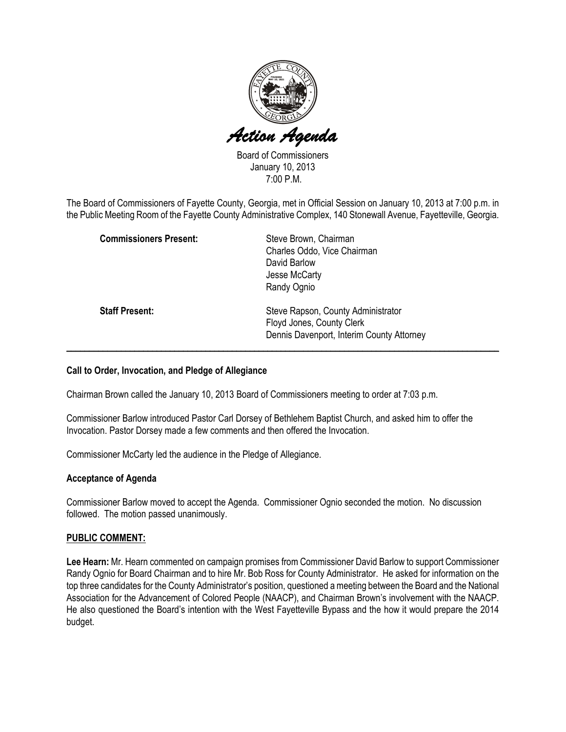

Board of Commissioners January 10, 2013 7:00 P.M.

The Board of Commissioners of Fayette County, Georgia, met in Official Session on January 10, 2013 at 7:00 p.m. in the Public Meeting Room of the Fayette County Administrative Complex, 140 Stonewall Avenue, Fayetteville, Georgia.

| <b>Commissioners Present:</b> | Steve Brown, Chairman<br>Charles Oddo, Vice Chairman<br>David Barlow<br>Jesse McCarty                        |
|-------------------------------|--------------------------------------------------------------------------------------------------------------|
|                               | Randy Ognio                                                                                                  |
| <b>Staff Present:</b>         | Steve Rapson, County Administrator<br>Floyd Jones, County Clerk<br>Dennis Davenport, Interim County Attorney |

## Call to Order, Invocation, and Pledge of Allegiance

Chairman Brown called the January 10, 2013 Board of Commissioners meeting to order at 7:03 p.m.

Commissioner Barlow introduced Pastor Carl Dorsey of Bethlehem Baptist Church, and asked him to offer the Invocation. Pastor Dorsey made a few comments and then offered the Invocation.

Commissioner McCarty led the audience in the Pledge of Allegiance.

#### Acceptance of Agenda

Commissioner Barlow moved to accept the Agenda. Commissioner Ognio seconded the motion. No discussion followed. The motion passed unanimously.

## PUBLIC COMMENT:

Lee Hearn: Mr. Hearn commented on campaign promises from Commissioner David Barlow to support Commissioner Randy Ognio for Board Chairman and to hire Mr. Bob Ross for County Administrator. He asked for information on the top three candidates for the County Administrator's position, questioned a meeting between the Board and the National Association for the Advancement of Colored People (NAACP), and Chairman Brown's involvement with the NAACP. He also questioned the Board's intention with the West Fayetteville Bypass and the how it would prepare the 2014 budget.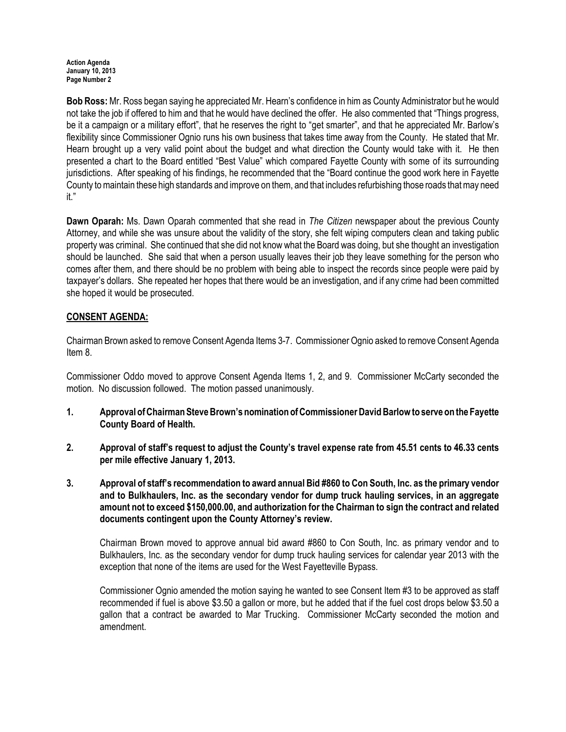Bob Ross: Mr. Ross began saying he appreciated Mr. Hearn's confidence in him as County Administrator but he would not take the job if offered to him and that he would have declined the offer. He also commented that "Things progress, be it a campaign or a military effort", that he reserves the right to "get smarter", and that he appreciated Mr. Barlow's flexibility since Commissioner Ognio runs his own business that takes time away from the County. He stated that Mr. Hearn brought up a very valid point about the budget and what direction the County would take with it. He then presented a chart to the Board entitled "Best Value" which compared Fayette County with some of its surrounding jurisdictions. After speaking of his findings, he recommended that the "Board continue the good work here in Fayette County to maintain these high standards and improve on them, and that includes refurbishing those roads that may need it."

Dawn Oparah: Ms. Dawn Oparah commented that she read in The Citizen newspaper about the previous County Attorney, and while she was unsure about the validity of the story, she felt wiping computers clean and taking public property was criminal. She continued that she did not know what the Board was doing, but she thought an investigation should be launched. She said that when a person usually leaves their job they leave something for the person who comes after them, and there should be no problem with being able to inspect the records since people were paid by taxpayer's dollars. She repeated her hopes that there would be an investigation, and if any crime had been committed she hoped it would be prosecuted.

# CONSENT AGENDA:

Chairman Brown asked to remove Consent Agenda Items 3-7. Commissioner Ognio asked to remove Consent Agenda Item 8.

Commissioner Oddo moved to approve Consent Agenda Items 1, 2, and 9. Commissioner McCarty seconded the motion. No discussion followed. The motion passed unanimously.

- 1. Approval of Chairman Steve Brown's nomination of Commissioner David Barlow to serve on the Fayette County Board of Health.
- 2. Approval of staff's request to adjust the County's travel expense rate from 45.51 cents to 46.33 cents per mile effective January 1, 2013.
- 3. Approval of staff's recommendation to award annual Bid #860 to Con South, Inc. as the primary vendor and to Bulkhaulers, Inc. as the secondary vendor for dump truck hauling services, in an aggregate amount not to exceed \$150,000.00, and authorization for the Chairman to sign the contract and related documents contingent upon the County Attorney's review.

Chairman Brown moved to approve annual bid award #860 to Con South, Inc. as primary vendor and to Bulkhaulers, Inc. as the secondary vendor for dump truck hauling services for calendar year 2013 with the exception that none of the items are used for the West Fayetteville Bypass.

Commissioner Ognio amended the motion saying he wanted to see Consent Item #3 to be approved as staff recommended if fuel is above \$3.50 a gallon or more, but he added that if the fuel cost drops below \$3.50 a gallon that a contract be awarded to Mar Trucking. Commissioner McCarty seconded the motion and amendment.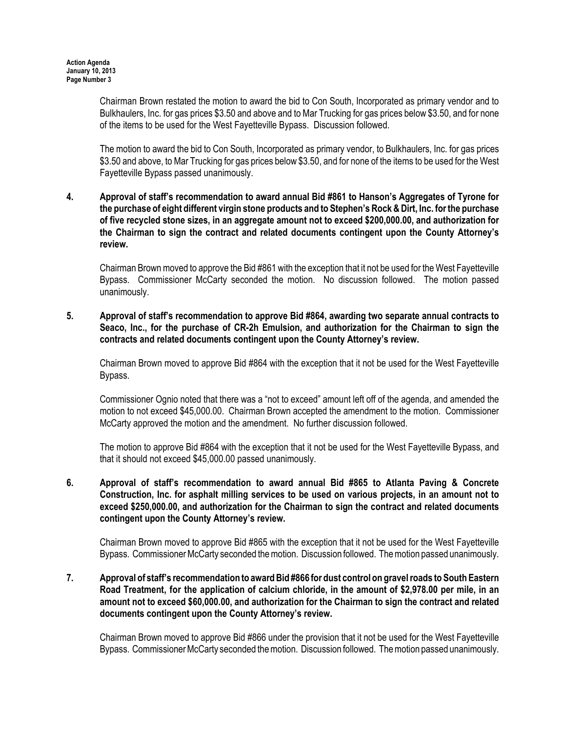Chairman Brown restated the motion to award the bid to Con South, Incorporated as primary vendor and to Bulkhaulers, Inc. for gas prices \$3.50 and above and to Mar Trucking for gas prices below \$3.50, and for none of the items to be used for the West Fayetteville Bypass. Discussion followed.

The motion to award the bid to Con South, Incorporated as primary vendor, to Bulkhaulers, Inc. for gas prices \$3.50 and above, to Mar Trucking for gas prices below \$3.50, and for none of the items to be used for the West Fayetteville Bypass passed unanimously.

## 4. Approval of staff's recommendation to award annual Bid #861 to Hanson's Aggregates of Tyrone for the purchase of eight different virgin stone products and to Stephen's Rock & Dirt, Inc. for the purchase of five recycled stone sizes, in an aggregate amount not to exceed \$200,000.00, and authorization for the Chairman to sign the contract and related documents contingent upon the County Attorney's review.

Chairman Brown moved to approve the Bid #861 with the exception that it not be used for the West Fayetteville Bypass. Commissioner McCarty seconded the motion. No discussion followed. The motion passed unanimously.

# 5. Approval of staff's recommendation to approve Bid #864, awarding two separate annual contracts to Seaco, Inc., for the purchase of CR-2h Emulsion, and authorization for the Chairman to sign the contracts and related documents contingent upon the County Attorney's review.

Chairman Brown moved to approve Bid #864 with the exception that it not be used for the West Fayetteville Bypass.

Commissioner Ognio noted that there was a "not to exceed" amount left off of the agenda, and amended the motion to not exceed \$45,000.00. Chairman Brown accepted the amendment to the motion. Commissioner McCarty approved the motion and the amendment. No further discussion followed.

The motion to approve Bid #864 with the exception that it not be used for the West Fayetteville Bypass, and that it should not exceed \$45,000.00 passed unanimously.

## 6. Approval of staff's recommendation to award annual Bid #865 to Atlanta Paving & Concrete Construction, Inc. for asphalt milling services to be used on various projects, in an amount not to exceed \$250,000.00, and authorization for the Chairman to sign the contract and related documents contingent upon the County Attorney's review.

Chairman Brown moved to approve Bid #865 with the exception that it not be used for the West Fayetteville Bypass. Commissioner McCarty seconded the motion. Discussion followed. The motion passed unanimously.

## 7. Approval of staff's recommendation to award Bid #866 for dust control on gravel roads to South Eastern Road Treatment, for the application of calcium chloride, in the amount of \$2,978.00 per mile, in an amount not to exceed \$60,000.00, and authorization for the Chairman to sign the contract and related documents contingent upon the County Attorney's review.

Chairman Brown moved to approve Bid #866 under the provision that it not be used for the West Fayetteville Bypass. Commissioner McCarty seconded the motion. Discussion followed. The motion passed unanimously.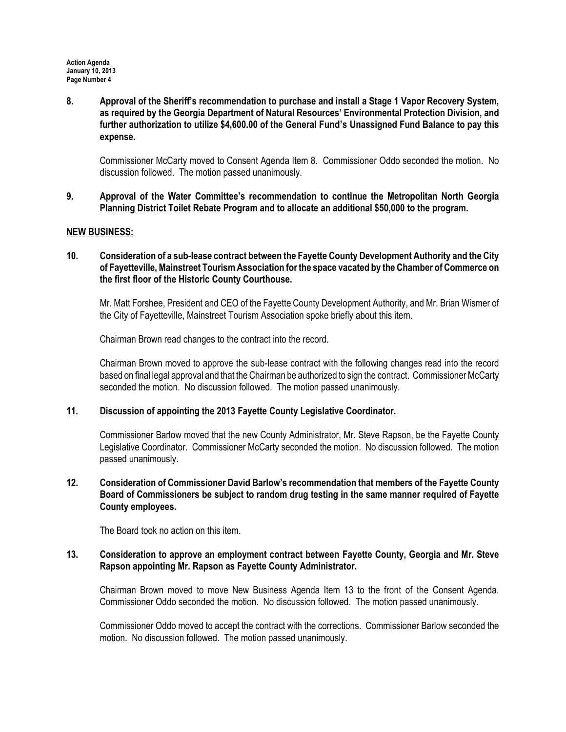8. Approval of the Sheriff's recommendation to purchase and install a Stage 1 Vapor Recovery System, as required by the Georgia Department of Natural Resources' Environmental Protection Division, and further authorization to utilize \$4,600.00 of the General Fund's Unassigned Fund Balance to pay this expense.

Commissioner McCarty moved to Consent Agenda Item 8. Commissioner Oddo seconded the motion. No discussion followed. The motion passed unanimously.

9. Approval of the Water Committee's recommendation to continue the Metropolitan North Georgia Planning District Toilet Rebate Program and to allocate an additional \$50,000 to the program.

#### NEW BUSINESS:

10. Consideration of a sub-lease contract between the Fayette County Development Authority and the City of Fayetteville, Mainstreet Tourism Association for the space vacated by the Chamber of Commerce on the first floor of the Historic County Courthouse.

Mr. Matt Forshee, President and CEO of the Fayette County Development Authority, and Mr. Brian Wismer of the City of Fayetteville, Mainstreet Tourism Association spoke briefly about this item.

Chairman Brown read changes to the contract into the record.

Chairman Brown moved to approve the sub-lease contract with the following changes read into the record based on final legal approval and that the Chairman be authorized to sign the contract. Commissioner McCarty seconded the motion. No discussion followed. The motion passed unanimously.

## 11. Discussion of appointing the 2013 Fayette County Legislative Coordinator.

Commissioner Barlow moved that the new County Administrator, Mr. Steve Rapson, be the Fayette County Legislative Coordinator. Commissioner McCarty seconded the motion. No discussion followed. The motion passed unanimously.

## 12. Consideration of Commissioner David Barlow's recommendation that members of the Fayette County Board of Commissioners be subject to random drug testing in the same manner required of Fayette County employees.

The Board took no action on this item.

## 13. Consideration to approve an employment contract between Fayette County, Georgia and Mr. Steve Rapson appointing Mr. Rapson as Fayette County Administrator.

Chairman Brown moved to move New Business Agenda Item 13 to the front of the Consent Agenda. Commissioner Oddo seconded the motion. No discussion followed. The motion passed unanimously.

Commissioner Oddo moved to accept the contract with the corrections. Commissioner Barlow seconded the motion. No discussion followed. The motion passed unanimously.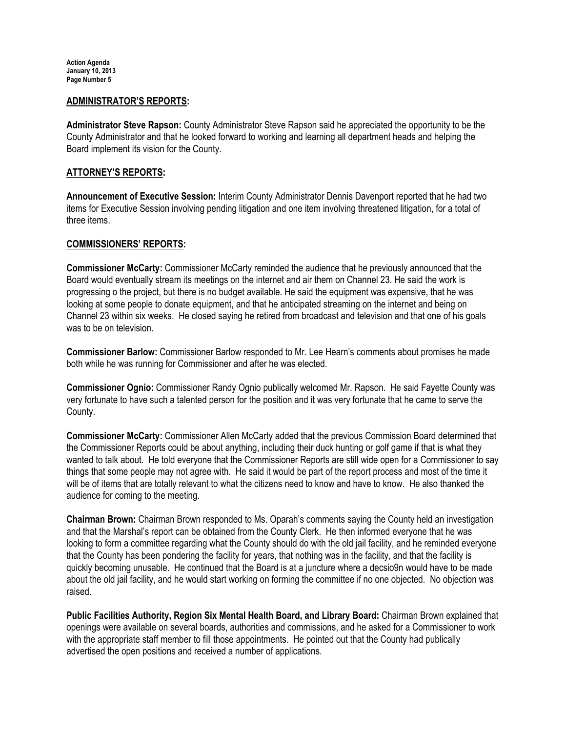#### ADMINISTRATOR'S REPORTS:

Administrator Steve Rapson: County Administrator Steve Rapson said he appreciated the opportunity to be the County Administrator and that he looked forward to working and learning all department heads and helping the Board implement its vision for the County.

## ATTORNEY'S REPORTS:

Announcement of Executive Session: Interim County Administrator Dennis Davenport reported that he had two items for Executive Session involving pending litigation and one item involving threatened litigation, for a total of three items.

## COMMISSIONERS' REPORTS:

Commissioner McCarty: Commissioner McCarty reminded the audience that he previously announced that the Board would eventually stream its meetings on the internet and air them on Channel 23. He said the work is progressing o the project, but there is no budget available. He said the equipment was expensive, that he was looking at some people to donate equipment, and that he anticipated streaming on the internet and being on Channel 23 within six weeks. He closed saying he retired from broadcast and television and that one of his goals was to be on television.

Commissioner Barlow: Commissioner Barlow responded to Mr. Lee Hearn's comments about promises he made both while he was running for Commissioner and after he was elected.

Commissioner Ognio: Commissioner Randy Ognio publically welcomed Mr. Rapson. He said Fayette County was very fortunate to have such a talented person for the position and it was very fortunate that he came to serve the County.

Commissioner McCarty: Commissioner Allen McCarty added that the previous Commission Board determined that the Commissioner Reports could be about anything, including their duck hunting or golf game if that is what they wanted to talk about. He told everyone that the Commissioner Reports are still wide open for a Commissioner to say things that some people may not agree with. He said it would be part of the report process and most of the time it will be of items that are totally relevant to what the citizens need to know and have to know. He also thanked the audience for coming to the meeting.

Chairman Brown: Chairman Brown responded to Ms. Oparah's comments saying the County held an investigation and that the Marshal's report can be obtained from the County Clerk. He then informed everyone that he was looking to form a committee regarding what the County should do with the old jail facility, and he reminded everyone that the County has been pondering the facility for years, that nothing was in the facility, and that the facility is quickly becoming unusable. He continued that the Board is at a juncture where a decsio9n would have to be made about the old jail facility, and he would start working on forming the committee if no one objected. No objection was raised.

Public Facilities Authority, Region Six Mental Health Board, and Library Board: Chairman Brown explained that openings were available on several boards, authorities and commissions, and he asked for a Commissioner to work with the appropriate staff member to fill those appointments. He pointed out that the County had publically advertised the open positions and received a number of applications.